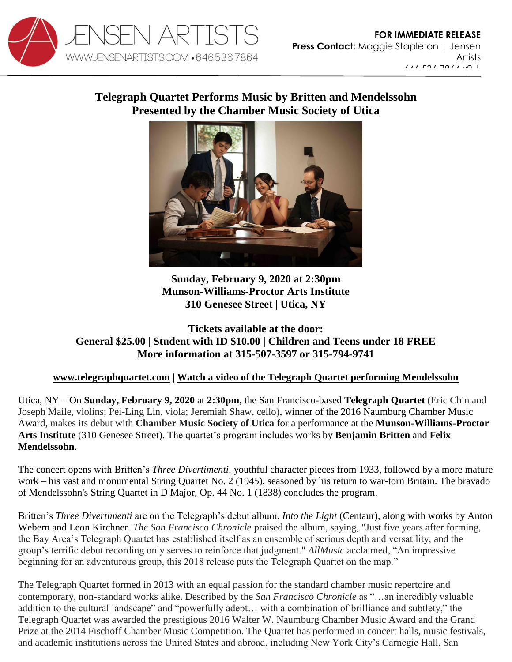

[maggie@jensenartists.com](mailto:maggie@jensenartists.com)

## 646.536.7864 x2 | maggie@jensenartists.com **Telegraph Quartet Performs Music by Britten and Mendelssohn Presented by the Chamber Music Society of Utica**



**Sunday, February 9, 2020 at 2:30pm Munson-Williams-Proctor Arts Institute 310 Genesee Street | Utica, NY**

## **Tickets available at the door: General \$25.00 | Student with ID \$10.00 | Children and Teens under 18 FREE More information at 315-507-3597 or 315-794-9741**

## **[www.telegraphquartet.com](https://u7061146.ct.sendgrid.net/wf/click?upn=84Em28S1K9SvtzcUtu04En1OYlqyWC1qa3CtuXuqVBU87y6AmtKKClRlEdT1ARS9_DruDjhchMBr5xQkz3h1qcOnjZc-2BCsAVhraQ7DxYhbA2-2BHLQf-2BHKWaWi2FTM7QHo-2Fd7eCMDRMAhfd2mcWSs-2FpzNW9MmuPwV7rH-2FbDd7DdSSYMzlKcCoJd-2B-2FMLaL5GDYk8MpV6j6CfwJkPyumYTy7afKbUldX-2FFWenmf-2Bd-2BmPKp4wd4wTDh-2BInVt9Mm9DPRB7ruXaRs5S6foBi6wMkckB1HlulybA3epJm6eQu8j03rINIdlEH-2FaCzkpapvzR-2B5vbtf7loGfqg2iF9lncQalXfxbRdwpSdcfQzyZ-2FZgKRvPOX-2BQgn9U0FgcSkyrruaXrqgm3okoY6QvSopLTI9y-2BSrJMk2JfrINSba7vurU8eWqF8-3D) | [Watch a video of the Telegraph Quartet performing Mendelssohn](https://www.youtube.com/watch?v=qn6HjCgOkB8)**

Utica, NY – On **Sunday, February 9, 2020** at **2:30pm**, the San Francisco-based **Telegraph Quartet** (Eric Chin and Joseph Maile, violins; Pei-Ling Lin, viola; Jeremiah Shaw, cello), winner of the 2016 Naumburg Chamber Music Award, makes its debut with **Chamber Music Society of Utica** for a performance at the **Munson-Williams-Proctor Arts Institute** (310 Genesee Street). The quartet's program includes works by **Benjamin Britten** and **Felix Mendelssohn**.

The concert opens with Britten's *Three Divertimenti,* youthful character pieces from 1933*,* followed by a more mature work – his vast and monumental String Quartet No. 2 (1945), seasoned by his return to war-torn Britain. The bravado of Mendelssohn's String Quartet in D Major, Op. 44 No. 1 (1838) concludes the program.

Britten's *Three Divertimenti* are on the Telegraph's debut album, *Into the Light* (Centaur), along with works by Anton Webern and Leon Kirchner. *The San Francisco Chronicle* praised the album, saying, "Just five years after forming, the Bay Area's Telegraph Quartet has established itself as an ensemble of serious depth and versatility, and the group's terrific debut recording only serves to reinforce that judgment." *AllMusic* acclaimed, "An impressive beginning for an adventurous group, this 2018 release puts the Telegraph Quartet on the map."

The Telegraph Quartet formed in 2013 with an equal passion for the standard chamber music repertoire and contemporary, non-standard works alike. Described by the *San Francisco Chronicle* as "…an incredibly valuable addition to the cultural landscape" and "powerfully adept… with a combination of brilliance and subtlety," the Telegraph Quartet was awarded the prestigious 2016 Walter W. Naumburg Chamber Music Award and the Grand Prize at the 2014 Fischoff Chamber Music Competition. The Quartet has performed in concert halls, music festivals, and academic institutions across the United States and abroad, including New York City's Carnegie Hall, San